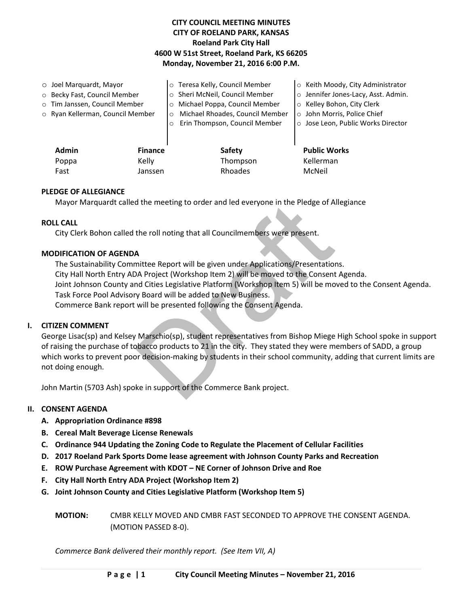# **CITY COUNCIL MEETING MINUTES CITY OF ROELAND PARK, KANSAS Roeland Park City Hall 4600 W 51st Street, Roeland Park, KS 66205 Monday, November 21, 2016 6:00 P.M.**

| $\circ$ Joel Marquardt, Mayor |                                  |                | o Teresa Kelly, Council Member             | ○ Keith Moody, City Administrator   |
|-------------------------------|----------------------------------|----------------|--------------------------------------------|-------------------------------------|
| ○ Becky Fast, Council Member  |                                  |                | o Sheri McNeil, Council Member             | o Jennifer Jones-Lacy, Asst. Admin. |
| o Tim Janssen, Council Member |                                  |                | o Michael Poppa, Council Member            | ○ Kelley Bohon, City Clerk          |
|                               | ○ Ryan Kellerman, Council Member |                | Michael Rhoades, Council Member<br>$\circ$ | o John Morris, Police Chief         |
|                               |                                  |                | Erin Thompson, Council Member<br>$\circ$   | o Jose Leon, Public Works Director  |
|                               |                                  |                |                                            |                                     |
|                               | <b>Admin</b>                     | <b>Finance</b> | <b>Safety</b>                              | <b>Public Works</b>                 |
|                               | Poppa                            | Kelly          | Thompson                                   | Kellerman                           |
|                               | Fast                             | Janssen        | Rhoades                                    | McNeil                              |

## **PLEDGE OF ALLEGIANCE**

Mayor Marquardt called the meeting to order and led everyone in the Pledge of Allegiance

### **ROLL CALL**

City Clerk Bohon called the roll noting that all Councilmembers were present.

### **MODIFICATION OF AGENDA**

d the meeting to order and led everyone in the Pledge of A<br>the roll noting that all Councilmembers were present.<br>A<br>different will be given under Applications/Presentation<br>DA Project (Workshop Item 2) will be moved to the C The Sustainability Committee Report will be given under Applications/Presentations. City Hall North Entry ADA Project (Workshop Item 2) will be moved to the Consent Agenda. Joint Johnson County and Cities Legislative Platform (Workshop Item 5) will be moved to the Consent Agenda. Task Force Pool Advisory Board will be added to New Business. Commerce Bank report will be presented following the Consent Agenda.

### **I. CITIZEN COMMENT**

George Lisac(sp) and Kelsey Marschio(sp), student representatives from Bishop Miege High School spoke in support of raising the purchase of tobacco products to 21 in the city. They stated they were members of SADD, a group which works to prevent poor decision-making by students in their school community, adding that current limits are not doing enough.

John Martin (5703 Ash) spoke in support of the Commerce Bank project.

### **II. CONSENT AGENDA**

- **A. Appropriation Ordinance #898**
- **B. Cereal Malt Beverage License Renewals**
- **C. Ordinance 944 Updating the Zoning Code to Regulate the Placement of Cellular Facilities**
- **D. 2017 Roeland Park Sports Dome lease agreement with Johnson County Parks and Recreation**
- **E. ROW Purchase Agreement with KDOT – NE Corner of Johnson Drive and Roe**
- **F. City Hall North Entry ADA Project (Workshop Item 2)**
- **G. Joint Johnson County and Cities Legislative Platform (Workshop Item 5)**
	- **MOTION:** CMBR KELLY MOVED AND CMBR FAST SECONDED TO APPROVE THE CONSENT AGENDA. (MOTION PASSED 8-0).

*Commerce Bank delivered their monthly report. (See Item VII, A)*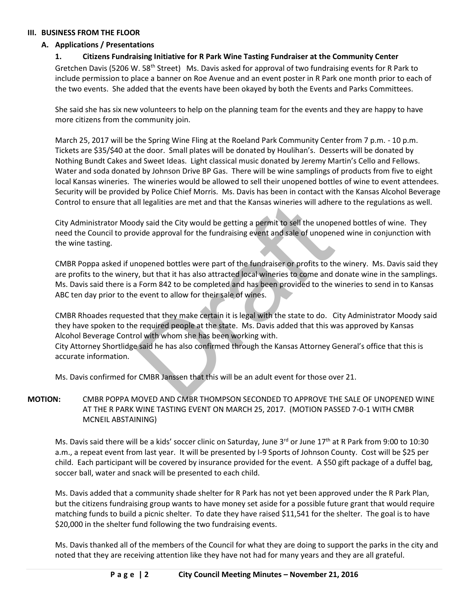### **III. BUSINESS FROM THE FLOOR**

## **A. Applications / Presentations**

## **1. Citizens Fundraising Initiative for R Park Wine Tasting Fundraiser at the Community Center**

Gretchen Davis (5206 W. 58<sup>th</sup> Street) Ms. Davis asked for approval of two fundraising events for R Park to include permission to place a banner on Roe Avenue and an event poster in R Park one month prior to each of the two events. She added that the events have been okayed by both the Events and Parks Committees.

She said she has six new volunteers to help on the planning team for the events and they are happy to have more citizens from the community join.

March 25, 2017 will be the Spring Wine Fling at the Roeland Park Community Center from 7 p.m. - 10 p.m. Tickets are \$35/\$40 at the door. Small plates will be donated by Houlihan's. Desserts will be donated by Nothing Bundt Cakes and Sweet Ideas. Light classical music donated by Jeremy Martin's Cello and Fellows. Water and soda donated by Johnson Drive BP Gas. There will be wine samplings of products from five to eight local Kansas wineries. The wineries would be allowed to sell their unopened bottles of wine to event attendees. Security will be provided by Police Chief Morris. Ms. Davis has been in contact with the Kansas Alcohol Beverage Control to ensure that all legalities are met and that the Kansas wineries will adhere to the regulations as well.

City Administrator Moody said the City would be getting a permit to sell the unopened bottles of wine. They need the Council to provide approval for the fundraising event and sale of unopened wine in conjunction with the wine tasting.

all legalities are met and that the Kansas wineries will adher<br>dy said the City would be getting a permit to sell the unope<br>wide approval for the fundraising event and sale of unopen<br>mopened bottles were part of the fundra CMBR Poppa asked if unopened bottles were part of the fundraiser or profits to the winery. Ms. Davis said they are profits to the winery, but that it has also attracted local wineries to come and donate wine in the samplings. Ms. Davis said there is a Form 842 to be completed and has been provided to the wineries to send in to Kansas ABC ten day prior to the event to allow for their sale of wines.

CMBR Rhoades requested that they make certain it is legal with the state to do. City Administrator Moody said they have spoken to the required people at the state. Ms. Davis added that this was approved by Kansas Alcohol Beverage Control with whom she has been working with.

City Attorney Shortlidge said he has also confirmed through the Kansas Attorney General's office that this is accurate information.

Ms. Davis confirmed for CMBR Janssen that this will be an adult event for those over 21.

# **MOTION:** CMBR POPPA MOVED AND CMBR THOMPSON SECONDED TO APPROVE THE SALE OF UNOPENED WINE AT THE R PARK WINE TASTING EVENT ON MARCH 25, 2017. (MOTION PASSED 7-0-1 WITH CMBR MCNEIL ABSTAINING)

Ms. Davis said there will be a kids' soccer clinic on Saturday, June 3rd or June 17th at R Park from 9:00 to 10:30 a.m., a repeat event from last year. It will be presented by I-9 Sports of Johnson County. Cost will be \$25 per child. Each participant will be covered by insurance provided for the event. A \$50 gift package of a duffel bag, soccer ball, water and snack will be presented to each child.

Ms. Davis added that a community shade shelter for R Park has not yet been approved under the R Park Plan, but the citizens fundraising group wants to have money set aside for a possible future grant that would require matching funds to build a picnic shelter. To date they have raised \$11,541 for the shelter. The goal is to have \$20,000 in the shelter fund following the two fundraising events.

Ms. Davis thanked all of the members of the Council for what they are doing to support the parks in the city and noted that they are receiving attention like they have not had for many years and they are all grateful.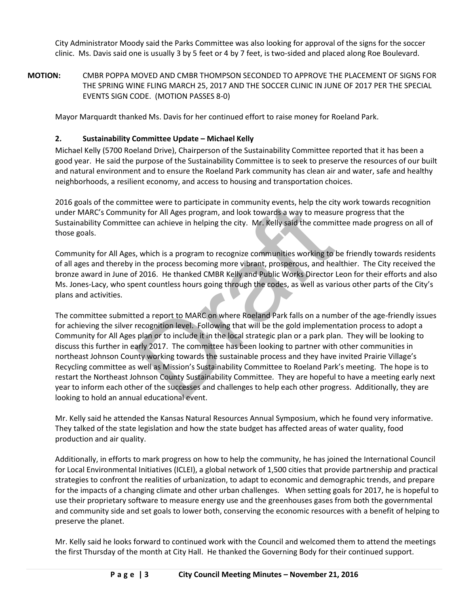City Administrator Moody said the Parks Committee was also looking for approval of the signs for the soccer clinic. Ms. Davis said one is usually 3 by 5 feet or 4 by 7 feet, is two-sided and placed along Roe Boulevard.

**MOTION:** CMBR POPPA MOVED AND CMBR THOMPSON SECONDED TO APPROVE THE PLACEMENT OF SIGNS FOR THE SPRING WINE FLING MARCH 25, 2017 AND THE SOCCER CLINIC IN JUNE OF 2017 PER THE SPECIAL EVENTS SIGN CODE. (MOTION PASSES 8-0)

Mayor Marquardt thanked Ms. Davis for her continued effort to raise money for Roeland Park.

# **2. Sustainability Committee Update – Michael Kelly**

Michael Kelly (5700 Roeland Drive), Chairperson of the Sustainability Committee reported that it has been a good year. He said the purpose of the Sustainability Committee is to seek to preserve the resources of our built and natural environment and to ensure the Roeland Park community has clean air and water, safe and healthy neighborhoods, a resilient economy, and access to housing and transportation choices.

2016 goals of the committee were to participate in community events, help the city work towards recognition under MARC's Community for All Ages program, and look towards a way to measure progress that the Sustainability Committee can achieve in helping the city. Mr. Kelly said the committee made progress on all of those goals.

Community for All Ages, which is a program to recognize communities working to be friendly towards residents of all ages and thereby in the process becoming more vibrant, prosperous, and healthier. The City received the bronze award in June of 2016. He thanked CMBR Kelly and Public Works Director Leon for their efforts and also Ms. Jones-Lacy, who spent countless hours going through the codes, as well as various other parts of the City's plans and activities.

intere were to participate in community events, help the city for All Ages program, and look towards a way to measure e can achieve in helping the city. Mr. Kelly said the commi<br>
i. which is a program to recognize communit The committee submitted a report to MARC on where Roeland Park falls on a number of the age-friendly issues for achieving the silver recognition level. Following that will be the gold implementation process to adopt a Community for All Ages plan or to include it in the local strategic plan or a park plan. They will be looking to discuss this further in early 2017. The committee has been looking to partner with other communities in northeast Johnson County working towards the sustainable process and they have invited Prairie Village's Recycling committee as well as Mission's Sustainability Committee to Roeland Park's meeting. The hope is to restart the Northeast Johnson County Sustainability Committee. They are hopeful to have a meeting early next year to inform each other of the successes and challenges to help each other progress. Additionally, they are looking to hold an annual educational event.

Mr. Kelly said he attended the Kansas Natural Resources Annual Symposium, which he found very informative. They talked of the state legislation and how the state budget has affected areas of water quality, food production and air quality.

Additionally, in efforts to mark progress on how to help the community, he has joined the International Council for Local Environmental Initiatives (ICLEI), a global network of 1,500 cities that provide partnership and practical strategies to confront the realities of urbanization, to adapt to economic and demographic trends, and prepare for the impacts of a changing climate and other urban challenges. When setting goals for 2017, he is hopeful to use their proprietary software to measure energy use and the greenhouses gases from both the governmental and community side and set goals to lower both, conserving the economic resources with a benefit of helping to preserve the planet.

Mr. Kelly said he looks forward to continued work with the Council and welcomed them to attend the meetings the first Thursday of the month at City Hall. He thanked the Governing Body for their continued support.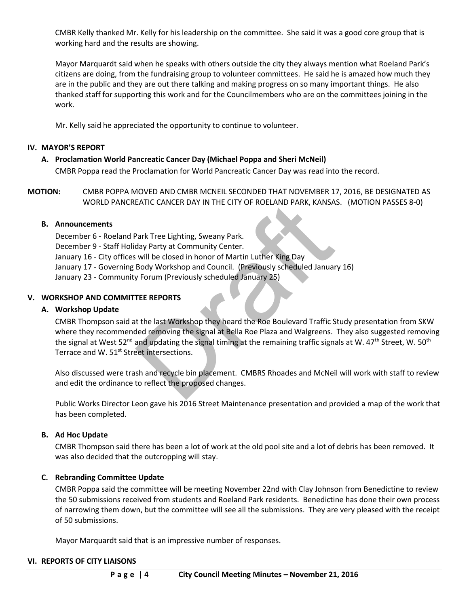CMBR Kelly thanked Mr. Kelly for his leadership on the committee. She said it was a good core group that is working hard and the results are showing.

Mayor Marquardt said when he speaks with others outside the city they always mention what Roeland Park's citizens are doing, from the fundraising group to volunteer committees. He said he is amazed how much they are in the public and they are out there talking and making progress on so many important things. He also thanked staff for supporting this work and for the Councilmembers who are on the committees joining in the work.

Mr. Kelly said he appreciated the opportunity to continue to volunteer.

### **IV. MAYOR'S REPORT**

## **A. Proclamation World Pancreatic Cancer Day (Michael Poppa and Sheri McNeil)**

CMBR Poppa read the Proclamation for World Pancreatic Cancer Day was read into the record.

**MOTION:** CMBR POPPA MOVED AND CMBR MCNEIL SECONDED THAT NOVEMBER 17, 2016, BE DESIGNATED AS WORLD PANCREATIC CANCER DAY IN THE CITY OF ROELAND PARK, KANSAS. (MOTION PASSES 8-0)

### **B. Announcements**

December 6 - Roeland Park Tree Lighting, Sweany Park.

- December 9 Staff Holiday Party at Community Center.
- January 16 City offices will be closed in honor of Martin Luther King Day
- January 17 Governing Body Workshop and Council. (Previously scheduled January 16)
- January 23 Community Forum (Previously scheduled January 25)

### **V. WORKSHOP AND COMMITTEE REPORTS**

### **A. Workshop Update**

EATIC CANCER DAY IN THE CITY OF ROELAND PARK, KANSA<br>
Park Tree Lighting, Sweany Park.<br>
The City of Community Center.<br>
Will be closed in honor of Martin Luther King Day<br>
Body Workshop and Council. (Previously scheduled Janu CMBR Thompson said at the last Workshop they heard the Roe Boulevard Traffic Study presentation from SKW where they recommended removing the signal at Bella Roe Plaza and Walgreens. They also suggested removing the signal at West 52<sup>nd</sup> and updating the signal timing at the remaining traffic signals at W. 47<sup>th</sup> Street, W. 50<sup>th</sup> Terrace and W. 51<sup>st</sup> Street intersections.

Also discussed were trash and recycle bin placement. CMBRS Rhoades and McNeil will work with staff to review and edit the ordinance to reflect the proposed changes.

Public Works Director Leon gave his 2016 Street Maintenance presentation and provided a map of the work that has been completed.

### **B. Ad Hoc Update**

CMBR Thompson said there has been a lot of work at the old pool site and a lot of debris has been removed. It was also decided that the outcropping will stay.

### **C. Rebranding Committee Update**

CMBR Poppa said the committee will be meeting November 22nd with Clay Johnson from Benedictine to review the 50 submissions received from students and Roeland Park residents. Benedictine has done their own process of narrowing them down, but the committee will see all the submissions. They are very pleased with the receipt of 50 submissions.

Mayor Marquardt said that is an impressive number of responses.

### **VI. REPORTS OF CITY LIAISONS**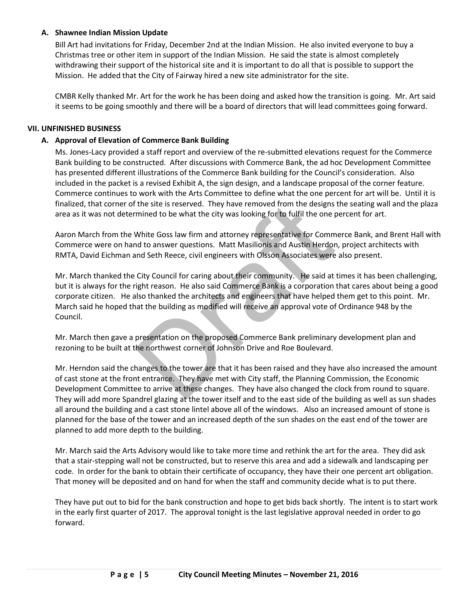## **A. Shawnee Indian Mission Update**

Bill Art had invitations for Friday, December 2nd at the Indian Mission. He also invited everyone to buy a Christmas tree or other item in support of the Indian Mission. He said the state is almost completely withdrawing their support of the historical site and it is important to do all that is possible to support the Mission. He added that the City of Fairway hired a new site administrator for the site.

CMBR Kelly thanked Mr. Art for the work he has been doing and asked how the transition is going. Mr. Art said it seems to be going smoothly and there will be a board of directors that will lead committees going forward.

### **VII. UNFINISHED BUSINESS**

### **A. Approval of Elevation of Commerce Bank Building**

Ms. Jones-Lacy provided a staff report and overview of the re-submitted elevations request for the Commerce Bank building to be constructed. After discussions with Commerce Bank, the ad hoc Development Committee has presented different illustrations of the Commerce Bank building for the Council's consideration. Also included in the packet is a revised Exhibit A, the sign design, and a landscape proposal of the corner feature. Commerce continues to work with the Arts Committee to define what the one percent for art will be. Until it is finalized, that corner of the site is reserved. They have removed from the designs the seating wall and the plaza area as it was not determined to be what the city was looking for to fulfil the one percent for art.

Aaron March from the White Goss law firm and attorney representative for Commerce Bank, and Brent Hall with Commerce were on hand to answer questions. Matt Masilionis and Austin Herdon, project architects with RMTA, David Eichman and Seth Reece, civil engineers with Olsson Associates were also present.

The site is reserved. They have removed from the designs<br>mined to be what the city was looking for to fulfil the one p<br>White Goss law firm and attorney representative for Comm<br>of to answer questions. Matt Masilionis and Au Mr. March thanked the City Council for caring about their community. He said at times it has been challenging, but it is always for the right reason. He also said Commerce Bank is a corporation that cares about being a good corporate citizen. He also thanked the architects and engineers that have helped them get to this point. Mr. March said he hoped that the building as modified will receive an approval vote of Ordinance 948 by the Council.

Mr. March then gave a presentation on the proposed Commerce Bank preliminary development plan and rezoning to be built at the northwest corner of Johnson Drive and Roe Boulevard.

Mr. Herndon said the changes to the tower are that it has been raised and they have also increased the amount of cast stone at the front entrance. They have met with City staff, the Planning Commission, the Economic Development Committee to arrive at these changes. They have also changed the clock from round to square. They will add more Spandrel glazing at the tower itself and to the east side of the building as well as sun shades all around the building and a cast stone lintel above all of the windows. Also an increased amount of stone is planned for the base of the tower and an increased depth of the sun shades on the east end of the tower are planned to add more depth to the building.

Mr. March said the Arts Advisory would like to take more time and rethink the art for the area. They did ask that a stair-stepping wall not be constructed, but to reserve this area and add a sidewalk and landscaping per code. In order for the bank to obtain their certificate of occupancy, they have their one percent art obligation. That money will be deposited and on hand for when the staff and community decide what is to put there.

They have put out to bid for the bank construction and hope to get bids back shortly. The intent is to start work in the early first quarter of 2017. The approval tonight is the last legislative approval needed in order to go forward.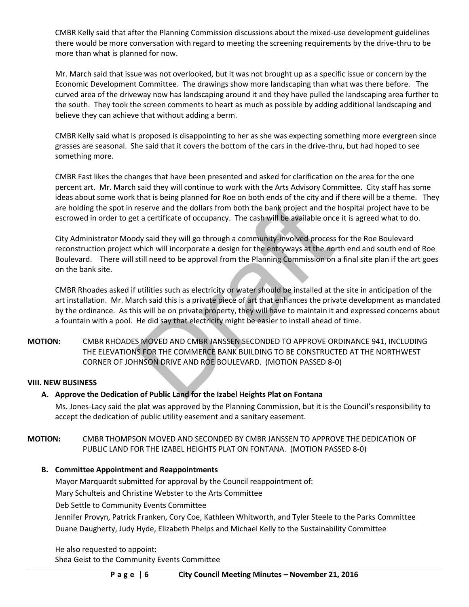CMBR Kelly said that after the Planning Commission discussions about the mixed-use development guidelines there would be more conversation with regard to meeting the screening requirements by the drive-thru to be more than what is planned for now.

Mr. March said that issue was not overlooked, but it was not brought up as a specific issue or concern by the Economic Development Committee. The drawings show more landscaping than what was there before. The curved area of the driveway now has landscaping around it and they have pulled the landscaping area further to the south. They took the screen comments to heart as much as possible by adding additional landscaping and believe they can achieve that without adding a berm.

CMBR Kelly said what is proposed is disappointing to her as she was expecting something more evergreen since grasses are seasonal. She said that it covers the bottom of the cars in the drive-thru, but had hoped to see something more.

CMBR Fast likes the changes that have been presented and asked for clarification on the area for the one percent art. Mr. March said they will continue to work with the Arts Advisory Committee. City staff has some ideas about some work that is being planned for Roe on both ends of the city and if there will be a theme. They are holding the spot in reserve and the dollars from both the bank project and the hospital project have to be escrowed in order to get a certificate of occupancy. The cash will be available once it is agreed what to do.

reserve and the dollars from both the bank project and the<br>et a certificate of occupancy. The cash will be available once<br>dy said they will go through a community-involved process<br>which will incorporate a design for the en City Administrator Moody said they will go through a community-involved process for the Roe Boulevard reconstruction project which will incorporate a design for the entryways at the north end and south end of Roe Boulevard. There will still need to be approval from the Planning Commission on a final site plan if the art goes on the bank site.

CMBR Rhoades asked if utilities such as electricity or water should be installed at the site in anticipation of the art installation. Mr. March said this is a private piece of art that enhances the private development as mandated by the ordinance. As this will be on private property, they will have to maintain it and expressed concerns about a fountain with a pool. He did say that electricity might be easier to install ahead of time.

**MOTION:** CMBR RHOADES MOVED AND CMBR JANSSEN SECONDED TO APPROVE ORDINANCE 941, INCLUDING THE ELEVATIONS FOR THE COMMERCE BANK BUILDING TO BE CONSTRUCTED AT THE NORTHWEST CORNER OF JOHNSON DRIVE AND ROE BOULEVARD. (MOTION PASSED 8-0)

## **VIII. NEW BUSINESS**

## **A. Approve the Dedication of Public Land for the Izabel Heights Plat on Fontana**

Ms. Jones-Lacy said the plat was approved by the Planning Commission, but it is the Council's responsibility to accept the dedication of public utility easement and a sanitary easement.

**MOTION:** CMBR THOMPSON MOVED AND SECONDED BY CMBR JANSSEN TO APPROVE THE DEDICATION OF PUBLIC LAND FOR THE IZABEL HEIGHTS PLAT ON FONTANA. (MOTION PASSED 8-0)

## **B. Committee Appointment and Reappointments**

Mayor Marquardt submitted for approval by the Council reappointment of:

Mary Schulteis and Christine Webster to the Arts Committee

Deb Settle to Community Events Committee

Jennifer Provyn, Patrick Franken, Cory Coe, Kathleen Whitworth, and Tyler Steele to the Parks Committee Duane Daugherty, Judy Hyde, Elizabeth Phelps and Michael Kelly to the Sustainability Committee

He also requested to appoint: Shea Geist to the Community Events Committee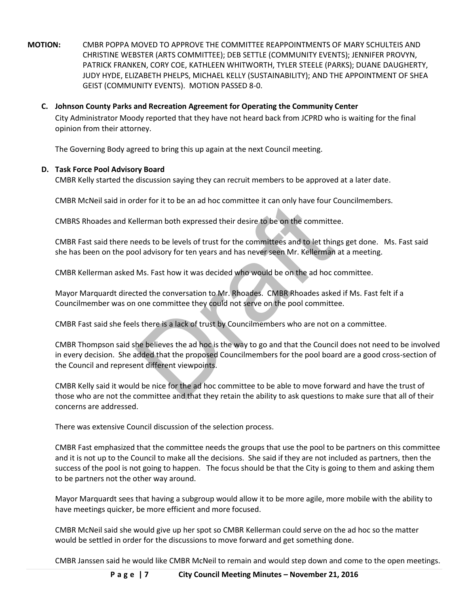- **MOTION:** CMBR POPPA MOVED TO APPROVE THE COMMITTEE REAPPOINTMENTS OF MARY SCHULTEIS AND CHRISTINE WEBSTER (ARTS COMMITTEE); DEB SETTLE (COMMUNITY EVENTS); JENNIFER PROVYN, PATRICK FRANKEN, CORY COE, KATHLEEN WHITWORTH, TYLER STEELE (PARKS); DUANE DAUGHERTY, JUDY HYDE, ELIZABETH PHELPS, MICHAEL KELLY (SUSTAINABILITY); AND THE APPOINTMENT OF SHEA GEIST (COMMUNITY EVENTS). MOTION PASSED 8-0.
	- **C. Johnson County Parks and Recreation Agreement for Operating the Community Center**  City Administrator Moody reported that they have not heard back from JCPRD who is waiting for the final opinion from their attorney.

The Governing Body agreed to bring this up again at the next Council meeting.

## **D. Task Force Pool Advisory Board**

CMBR Kelly started the discussion saying they can recruit members to be approved at a later date.

CMBR McNeil said in order for it to be an ad hoc committee it can only have four Councilmembers.

CMBRS Rhoades and Kellerman both expressed their desire to be on the committee.

CMBR Fast said there needs to be levels of trust for the committees and to let things get done. Ms. Fast said she has been on the pool advisory for ten years and has never seen Mr. Kellerman at a meeting.

CMBR Kellerman asked Ms. Fast how it was decided who would be on the ad hoc committee.

Mayor Marquardt directed the conversation to Mr. Rhoades. CMBR Rhoades asked if Ms. Fast felt if a Councilmember was on one committee they could not serve on the pool committee.

CMBR Fast said she feels there is a lack of trust by Councilmembers who are not on a committee.

eler for it to be all au not committee it can only have four cellerman both expressed their desire to be on the committe<br>eeds to be levels of trust for the committees and to let thin<br>ol advisory for ten years and has never CMBR Thompson said she believes the ad hoc is the way to go and that the Council does not need to be involved in every decision. She added that the proposed Councilmembers for the pool board are a good cross-section of the Council and represent different viewpoints.

CMBR Kelly said it would be nice for the ad hoc committee to be able to move forward and have the trust of those who are not the committee and that they retain the ability to ask questions to make sure that all of their concerns are addressed.

There was extensive Council discussion of the selection process.

CMBR Fast emphasized that the committee needs the groups that use the pool to be partners on this committee and it is not up to the Council to make all the decisions. She said if they are not included as partners, then the success of the pool is not going to happen. The focus should be that the City is going to them and asking them to be partners not the other way around.

Mayor Marquardt sees that having a subgroup would allow it to be more agile, more mobile with the ability to have meetings quicker, be more efficient and more focused.

CMBR McNeil said she would give up her spot so CMBR Kellerman could serve on the ad hoc so the matter would be settled in order for the discussions to move forward and get something done.

CMBR Janssen said he would like CMBR McNeil to remain and would step down and come to the open meetings.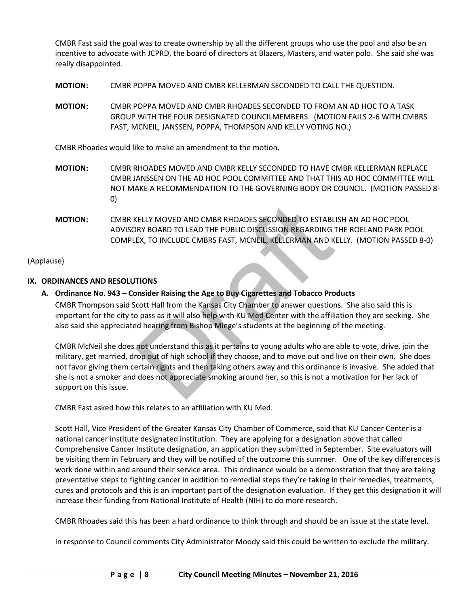CMBR Fast said the goal was to create ownership by all the different groups who use the pool and also be an incentive to advocate with JCPRD, the board of directors at Blazers, Masters, and water polo. She said she was really disappointed.

**MOTION:** CMBR POPPA MOVED AND CMBR KELLERMAN SECONDED TO CALL THE QUESTION.

**MOTION:** CMBR POPPA MOVED AND CMBR RHOADES SECONDED TO FROM AN AD HOC TO A TASK GROUP WITH THE FOUR DESIGNATED COUNCILMEMBERS. (MOTION FAILS 2-6 WITH CMBRS FAST, MCNEIL, JANSSEN, POPPA, THOMPSON AND KELLY VOTING NO.)

CMBR Rhoades would like to make an amendment to the motion.

- **MOTION:** CMBR RHOADES MOVED AND CMBR KELLY SECONDED TO HAVE CMBR KELLERMAN REPLACE CMBR JANSSEN ON THE AD HOC POOL COMMITTEE AND THAT THIS AD HOC COMMITTEE WILL NOT MAKE A RECOMMENDATION TO THE GOVERNING BODY OR COUNCIL. (MOTION PASSED 8- 0)
- **MOTION:** CMBR KELLY MOVED AND CMBR RHOADES SECONDED TO ESTABLISH AN AD HOC POOL ADVISORY BOARD TO LEAD THE PUBLIC DISCUSSION REGARDING THE ROELAND PARK POOL COMPLEX, TO INCLUDE CMBRS FAST, MCNEIL, KELLERMAN AND KELLY. (MOTION PASSED 8-0)

## (Applause)

## **IX. ORDINANCES AND RESOLUTIONS**

## **A. Ordinance No. 943 – Consider Raising the Age to Buy Cigarettes and Tobacco Products**

CMBR Thompson said Scott Hall from the Kansas City Chamber to answer questions. She also said this is important for the city to pass as it will also help with KU Med Center with the affiliation they are seeking. She also said she appreciated hearing from Bishop Miege's students at the beginning of the meeting.

KELLY MOVED AND CMBR RHOADES SECONDED TO ESTABL<br>RRY BOARD TO LEAD THE PUBLIC DISCUSSION REGARDING TEX, TO INCLUDE CMBRS FAST, MCNEIL, KELLERMAN AND K<br>EX, TO INCLUDE CMBRS FAST, MCNEIL, KELLERMAN AND K<br>TIONS<br>Donsider Raisin CMBR McNeil she does not understand this as it pertains to young adults who are able to vote, drive, join the military, get married, drop out of high school if they choose, and to move out and live on their own. She does not favor giving them certain rights and then taking others away and this ordinance is invasive. She added that she is not a smoker and does not appreciate smoking around her, so this is not a motivation for her lack of support on this issue.

CMBR Fast asked how this relates to an affiliation with KU Med.

Scott Hall, Vice President of the Greater Kansas City Chamber of Commerce, said that KU Cancer Center is a national cancer institute designated institution. They are applying for a designation above that called Comprehensive Cancer Institute designation, an application they submitted in September. Site evaluators will be visiting them in February and they will be notified of the outcome this summer. One of the key differences is work done within and around their service area. This ordinance would be a demonstration that they are taking preventative steps to fighting cancer in addition to remedial steps they're taking in their remedies, treatments, cures and protocols and this is an important part of the designation evaluation. If they get this designation it will increase their funding from National Institute of Health (NIH) to do more research.

CMBR Rhoades said this has been a hard ordinance to think through and should be an issue at the state level.

In response to Council comments City Administrator Moody said this could be written to exclude the military.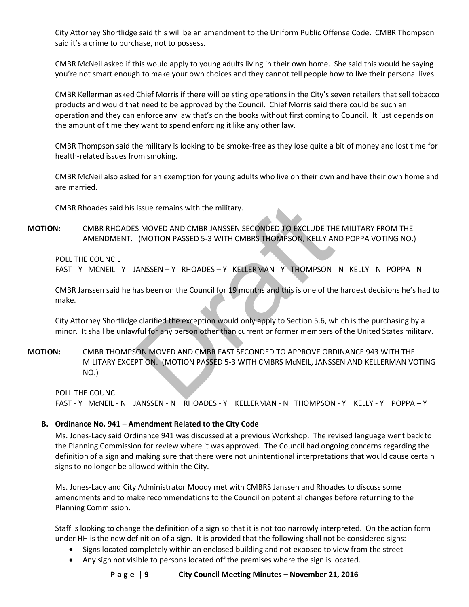City Attorney Shortlidge said this will be an amendment to the Uniform Public Offense Code. CMBR Thompson said it's a crime to purchase, not to possess.

CMBR McNeil asked if this would apply to young adults living in their own home. She said this would be saying you're not smart enough to make your own choices and they cannot tell people how to live their personal lives.

CMBR Kellerman asked Chief Morris if there will be sting operations in the City's seven retailers that sell tobacco products and would that need to be approved by the Council. Chief Morris said there could be such an operation and they can enforce any law that's on the books without first coming to Council. It just depends on the amount of time they want to spend enforcing it like any other law.

CMBR Thompson said the military is looking to be smoke-free as they lose quite a bit of money and lost time for health-related issues from smoking.

CMBR McNeil also asked for an exemption for young adults who live on their own and have their own home and are married.

CMBR Rhoades said his issue remains with the military.

**MOTION:** CMBR RHOADES MOVED AND CMBR JANSSEN SECONDED TO EXCLUDE THE MILITARY FROM THE AMENDMENT. (MOTION PASSED 5-3 WITH CMBRS THOMPSON, KELLY AND POPPA VOTING NO.)

POLL THE COUNCIL

FAST - Y MCNEIL - Y JANSSEN - Y RHOADES - Y KELLERMAN - Y THOMPSON - N KELLY - N POPPA - N

CMBR Janssen said he has been on the Council for 19 months and this is one of the hardest decisions he's had to make.

City Attorney Shortlidge clarified the exception would only apply to Section 5.6, which is the purchasing by a minor. It shall be unlawful for any person other than current or former members of the United States military.

issue remains with the military.<br>
S MOVED AND CMBR JANSSEN SECONDED TO EXCLUDE TH<br>
(MOTION PASSED 5-3 WITH CMBRS THOMPSON, KELLY AN<br>
ANSSEN - Y RHOADES - Y KELLERMAN - Y THOMPSON<br>
and this is one of the<br>
clarified the exce **MOTION:** CMBR THOMPSON MOVED AND CMBR FAST SECONDED TO APPROVE ORDINANCE 943 WITH THE MILITARY EXCEPTION. (MOTION PASSED 5-3 WITH CMBRS McNEIL, JANSSEN AND KELLERMAN VOTING NO.)

POLL THE COUNCIL FAST - Y McNEIL - N JANSSEN - N RHOADES - Y KELLERMAN - N THOMPSON - Y KELLY - Y POPPA – Y

### **B. Ordinance No. 941 – Amendment Related to the City Code**

Ms. Jones-Lacy said Ordinance 941 was discussed at a previous Workshop. The revised language went back to the Planning Commission for review where it was approved. The Council had ongoing concerns regarding the definition of a sign and making sure that there were not unintentional interpretations that would cause certain signs to no longer be allowed within the City.

Ms. Jones-Lacy and City Administrator Moody met with CMBRS Janssen and Rhoades to discuss some amendments and to make recommendations to the Council on potential changes before returning to the Planning Commission.

Staff is looking to change the definition of a sign so that it is not too narrowly interpreted. On the action form under HH is the new definition of a sign. It is provided that the following shall not be considered signs:

- Signs located completely within an enclosed building and not exposed to view from the street
- Any sign not visible to persons located off the premises where the sign is located.